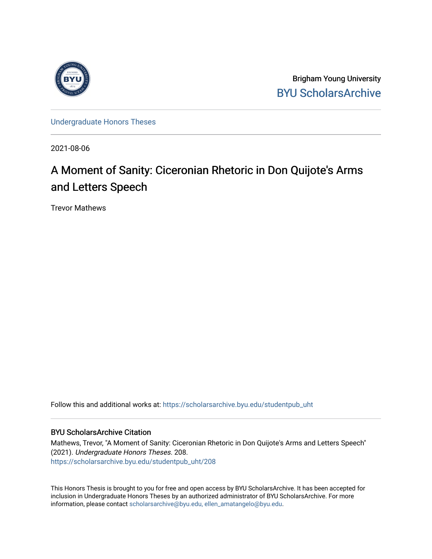

Brigham Young University [BYU ScholarsArchive](https://scholarsarchive.byu.edu/) 

[Undergraduate Honors Theses](https://scholarsarchive.byu.edu/studentpub_uht) 

2021-08-06

## A Moment of Sanity: Ciceronian Rhetoric in Don Quijote's Arms and Letters Speech

Trevor Mathews

Follow this and additional works at: [https://scholarsarchive.byu.edu/studentpub\\_uht](https://scholarsarchive.byu.edu/studentpub_uht?utm_source=scholarsarchive.byu.edu%2Fstudentpub_uht%2F208&utm_medium=PDF&utm_campaign=PDFCoverPages) 

## BYU ScholarsArchive Citation

Mathews, Trevor, "A Moment of Sanity: Ciceronian Rhetoric in Don Quijote's Arms and Letters Speech" (2021). Undergraduate Honors Theses. 208. [https://scholarsarchive.byu.edu/studentpub\\_uht/208](https://scholarsarchive.byu.edu/studentpub_uht/208?utm_source=scholarsarchive.byu.edu%2Fstudentpub_uht%2F208&utm_medium=PDF&utm_campaign=PDFCoverPages)

This Honors Thesis is brought to you for free and open access by BYU ScholarsArchive. It has been accepted for inclusion in Undergraduate Honors Theses by an authorized administrator of BYU ScholarsArchive. For more information, please contact [scholarsarchive@byu.edu, ellen\\_amatangelo@byu.edu.](mailto:scholarsarchive@byu.edu,%20ellen_amatangelo@byu.edu)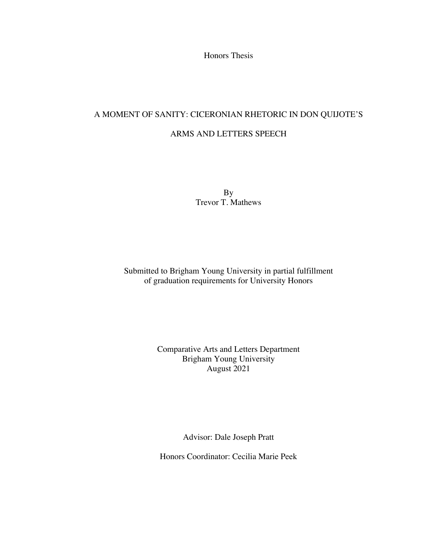Honors Thesis

# A MOMENT OF SANITY: CICERONIAN RHETORIC IN DON QUIJOTE'S

ARMS AND LETTERS SPEECH

By Trevor T. Mathews

Submitted to Brigham Young University in partial fulfillment of graduation requirements for University Honors

## Comparative Arts and Letters Department Brigham Young University August 2021

Advisor: Dale Joseph Pratt

Honors Coordinator: Cecilia Marie Peek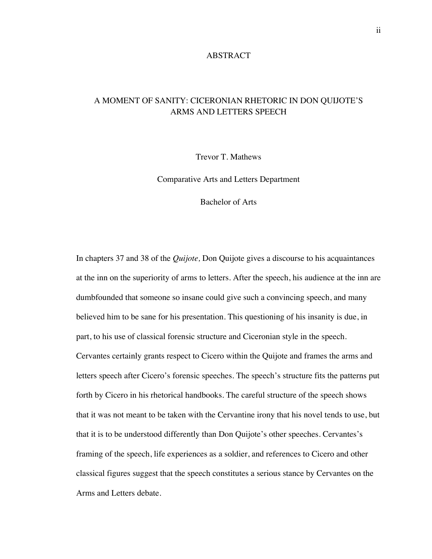## ABSTRACT

## A MOMENT OF SANITY: CICERONIAN RHETORIC IN DON QUIJOTE'S ARMS AND LETTERS SPEECH

Trevor T. Mathews

Comparative Arts and Letters Department

Bachelor of Arts

In chapters 37 and 38 of the *Quijote,* Don Quijote gives a discourse to his acquaintances at the inn on the superiority of arms to letters. After the speech, his audience at the inn are dumbfounded that someone so insane could give such a convincing speech, and many believed him to be sane for his presentation. This questioning of his insanity is due, in part, to his use of classical forensic structure and Ciceronian style in the speech. Cervantes certainly grants respect to Cicero within the Quijote and frames the arms and letters speech after Cicero's forensic speeches. The speech's structure fits the patterns put forth by Cicero in his rhetorical handbooks. The careful structure of the speech shows that it was not meant to be taken with the Cervantine irony that his novel tends to use, but that it is to be understood differently than Don Quijote's other speeches. Cervantes's framing of the speech, life experiences as a soldier, and references to Cicero and other classical figures suggest that the speech constitutes a serious stance by Cervantes on the Arms and Letters debate.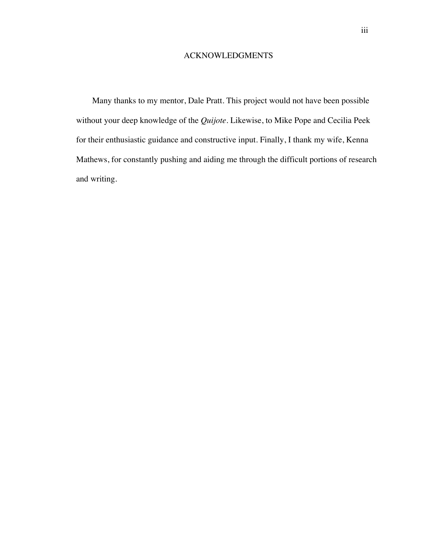## ACKNOWLEDGMENTS

Many thanks to my mentor, Dale Pratt. This project would not have been possible without your deep knowledge of the *Quijote*. Likewise, to Mike Pope and Cecilia Peek for their enthusiastic guidance and constructive input. Finally, I thank my wife, Kenna Mathews, for constantly pushing and aiding me through the difficult portions of research and writing.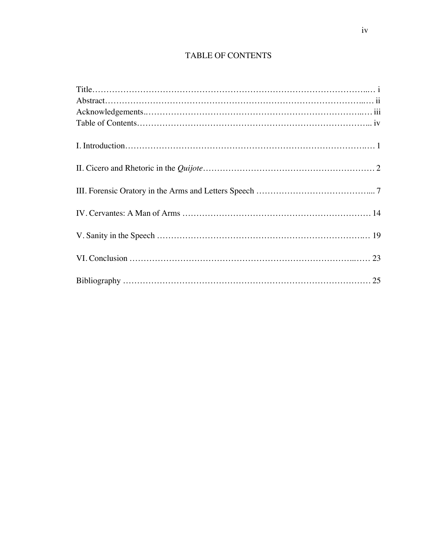## TABLE OF CONTENTS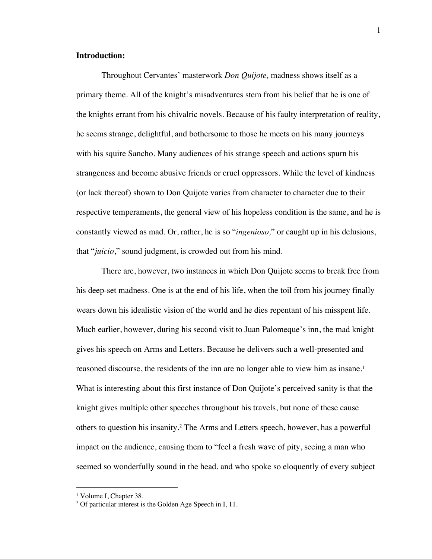## **Introduction:**

Throughout Cervantes' masterwork *Don Quijote,* madness shows itself as a primary theme. All of the knight's misadventures stem from his belief that he is one of the knights errant from his chivalric novels. Because of his faulty interpretation of reality, he seems strange, delightful, and bothersome to those he meets on his many journeys with his squire Sancho. Many audiences of his strange speech and actions spurn his strangeness and become abusive friends or cruel oppressors. While the level of kindness (or lack thereof) shown to Don Quijote varies from character to character due to their respective temperaments, the general view of his hopeless condition is the same, and he is constantly viewed as mad. Or, rather, he is so "*ingenioso,*" or caught up in his delusions, that "*juicio*," sound judgment, is crowded out from his mind.

There are, however, two instances in which Don Quijote seems to break free from his deep-set madness. One is at the end of his life, when the toil from his journey finally wears down his idealistic vision of the world and he dies repentant of his misspent life. Much earlier, however, during his second visit to Juan Palomeque's inn, the mad knight gives his speech on Arms and Letters. Because he delivers such a well-presented and reasoned discourse, the residents of the inn are no longer able to view him as insane.<sup>1</sup> What is interesting about this first instance of Don Quijote's perceived sanity is that the knight gives multiple other speeches throughout his travels, but none of these cause others to question his insanity. <sup>2</sup> The Arms and Letters speech, however, has a powerful impact on the audience, causing them to "feel a fresh wave of pity, seeing a man who seemed so wonderfully sound in the head, and who spoke so eloquently of every subject

<sup>&</sup>lt;sup>1</sup> Volume I, Chapter 38.

<sup>&</sup>lt;sup>2</sup> Of particular interest is the Golden Age Speech in I, 11.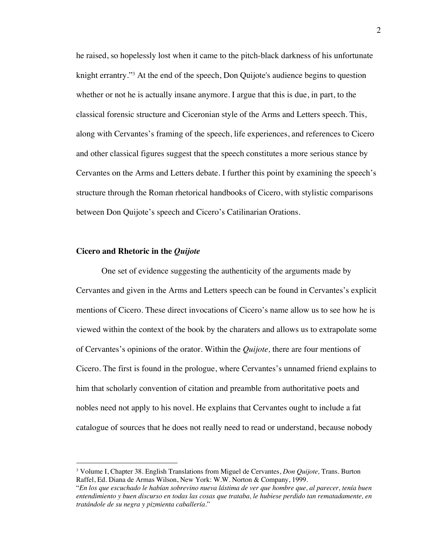he raised, so hopelessly lost when it came to the pitch-black darkness of his unfortunate knight errantry."<sup>3</sup> At the end of the speech, Don Quijote's audience begins to question whether or not he is actually insane anymore. I argue that this is due, in part, to the classical forensic structure and Ciceronian style of the Arms and Letters speech. This, along with Cervantes's framing of the speech, life experiences, and references to Cicero and other classical figures suggest that the speech constitutes a more serious stance by Cervantes on the Arms and Letters debate. I further this point by examining the speech's structure through the Roman rhetorical handbooks of Cicero, with stylistic comparisons between Don Quijote's speech and Cicero's Catilinarian Orations.

#### **Cicero and Rhetoric in the** *Quijote*

One set of evidence suggesting the authenticity of the arguments made by Cervantes and given in the Arms and Letters speech can be found in Cervantes's explicit mentions of Cicero. These direct invocations of Cicero's name allow us to see how he is viewed within the context of the book by the charaters and allows us to extrapolate some of Cervantes's opinions of the orator. Within the *Quijote,* there are four mentions of Cicero. The first is found in the prologue, where Cervantes's unnamed friend explains to him that scholarly convention of citation and preamble from authoritative poets and nobles need not apply to his novel. He explains that Cervantes ought to include a fat catalogue of sources that he does not really need to read or understand, because nobody

<sup>3</sup> Volume I, Chapter 38. English Translations from Miguel de Cervantes, *Don Quijote,* Trans. Burton Raffel, Ed. Diana de Armas Wilson, New York: W.W. Norton & Company, 1999.

<sup>&</sup>quot;*En los que escuchado le habían sobrevino nueva lástima de ver que hombre que, al parecer, tenía buen entendimiento y buen discurso en todas las cosas que trataba, le hubiese perdido tan rematadamente, en tratándole de su negra y pizmienta caballería.*"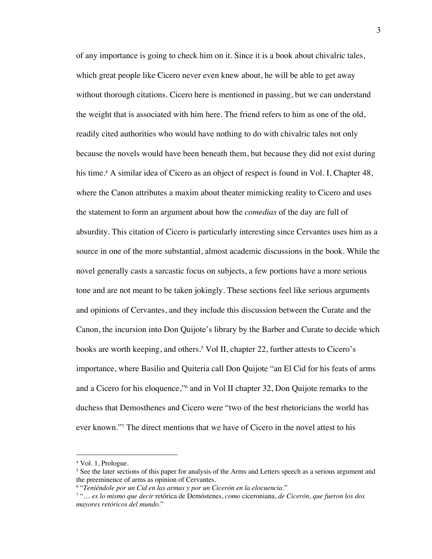of any importance is going to check him on it. Since it is a book about chivalric tales, which great people like Cicero never even knew about, he will be able to get away without thorough citations. Cicero here is mentioned in passing, but we can understand the weight that is associated with him here. The friend refers to him as one of the old, readily cited authorities who would have nothing to do with chivalric tales not only because the novels would have been beneath them, but because they did not exist during his time.<sup>4</sup> A similar idea of Cicero as an object of respect is found in Vol. I, Chapter 48, where the Canon attributes a maxim about theater mimicking reality to Cicero and uses the statement to form an argument about how the *comedias* of the day are full of absurdity. This citation of Cicero is particularly interesting since Cervantes uses him as a source in one of the more substantial, almost academic discussions in the book. While the novel generally casts a sarcastic focus on subjects, a few portions have a more serious tone and are not meant to be taken jokingly. These sections feel like serious arguments and opinions of Cervantes, and they include this discussion between the Curate and the Canon, the incursion into Don Quijote's library by the Barber and Curate to decide which books are worth keeping, and others.<sup>5</sup> Vol II, chapter 22, further attests to Cicero's importance, where Basilio and Quiteria call Don Quijote "an El Cid for his feats of arms and a Cicero for his eloquence,"6 and in Vol II chapter 32, Don Quijote remarks to the duchess that Demosthenes and Cicero were "two of the best rhetoricians the world has ever known."7 The direct mentions that we have of Cicero in the novel attest to his

<sup>4</sup> Vol. 1, Prologue.

<sup>5</sup> See the later sections of this paper for analysis of the Arms and Letters speech as a serious argument and the preeminence of arms as opinion of Cervantes. 6 "*Teniéndole por un Cid en las armas y por un Cicerón en la elocuencia.*"

<sup>7</sup> "… *es lo mismo que decir* retórica de Demóstenes, *como* ciceroniana, *de Cicerón, que fueron los dos mayores retóricos del mundo.*"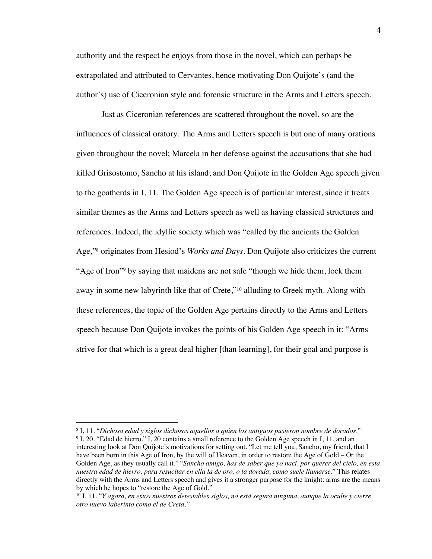authority and the respect he enjoys from those in the novel, which can perhaps be extrapolated and attributed to Cervantes, hence motivating Don Quijote's (and the author's) use of Ciceronian style and forensic structure in the Arms and Letters speech.

Just as Ciceronian references are scattered throughout the novel, so are the influences of classical oratory. The Arms and Letters speech is but one of many orations given throughout the novel; Marcela in her defense against the accusations that she had killed Grisostomo, Sancho at his island, and Don Quijote in the Golden Age speech given to the goatherds in I, 11. The Golden Age speech is of particular interest, since it treats similar themes as the Arms and Letters speech as well as having classical structures and references. Indeed, the idyllic society which was "called by the ancients the Golden Age,"8 originates from Hesiod's *Works and Days*. Don Quijote also criticizes the current "Age of Iron"9 by saying that maidens are not safe "though we hide them, lock them away in some new labyrinth like that of Crete,"10 alluding to Greek myth. Along with these references, the topic of the Golden Age pertains directly to the Arms and Letters speech because Don Quijote invokes the points of his Golden Age speech in it: "Arms strive for that which is a great deal higher [than learning], for their goal and purpose is

<sup>&</sup>lt;sup>8</sup> I, 11. "*Dichosa edad y siglos dichosos aquellos a quien los antiguos pusieron nombre de dorados."* 9 I, 20. "Edad de hierro." I, 20 contains a small reference to the Golden Age speech in I, 11, and an interesting look at Don Quijote's motivations for setting out. "Let me tell you, Sancho, my friend, that I have been born in this Age of Iron, by the will of Heaven, in order to restore the Age of Gold – Or the Golden Age, as they usually call it." "*Sancho amigo, has de saber que yo nací, por querer del cielo, en esta nuestra edad de hierro, para resucitar en ella la de oro, o la dorada, como suele llamarse*." This relates directly with the Arms and Letters speech and gives it a stronger purpose for the knight: arms are the means by which he hopes to "restore the Age of Gold."

<sup>10</sup> I, 11. "*Y agora, en estos nuestros detestables siglos, no está segura ninguna, aunque la oculte y cierre otro nuevo laberinto como el de Creta."*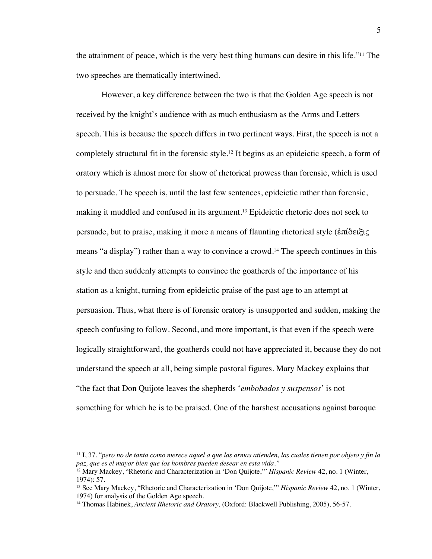the attainment of peace, which is the very best thing humans can desire in this life."11 The two speeches are thematically intertwined.

However, a key difference between the two is that the Golden Age speech is not received by the knight's audience with as much enthusiasm as the Arms and Letters speech. This is because the speech differs in two pertinent ways. First, the speech is not a completely structural fit in the forensic style.12 It begins as an epideictic speech, a form of oratory which is almost more for show of rhetorical prowess than forensic, which is used to persuade. The speech is, until the last few sentences, epideictic rather than forensic, making it muddled and confused in its argument. <sup>13</sup> Epideictic rhetoric does not seek to persuade, but to praise, making it more a means of flaunting rhetorical style (ἐπίδειξις means "a display") rather than a way to convince a crowd.<sup>14</sup> The speech continues in this style and then suddenly attempts to convince the goatherds of the importance of his station as a knight, turning from epideictic praise of the past age to an attempt at persuasion. Thus, what there is of forensic oratory is unsupported and sudden, making the speech confusing to follow. Second, and more important, is that even if the speech were logically straightforward, the goatherds could not have appreciated it, because they do not understand the speech at all, being simple pastoral figures. Mary Mackey explains that "the fact that Don Quijote leaves the shepherds '*embobados y suspensos*' is not something for which he is to be praised. One of the harshest accusations against baroque

<sup>11</sup> I, 37. "*pero no de tanta como merece aquel a que las armas atienden, las cuales tienen por objeto y fin la paz, que es el mayor bien que los hombres pueden desear en esta vida."*

<sup>12</sup> Mary Mackey, "Rhetoric and Characterization in 'Don Quijote,'" *Hispanic Review* 42, no. 1 (Winter, 1974): 57.

<sup>13</sup> See Mary Mackey, "Rhetoric and Characterization in 'Don Quijote,'" *Hispanic Review* 42, no. 1 (Winter, 1974) for analysis of the Golden Age speech.<br><sup>14</sup> Thomas Habinek, *Ancient Rhetoric and Oratory*, (Oxford: Blackwell Publishing, 2005), 56-57.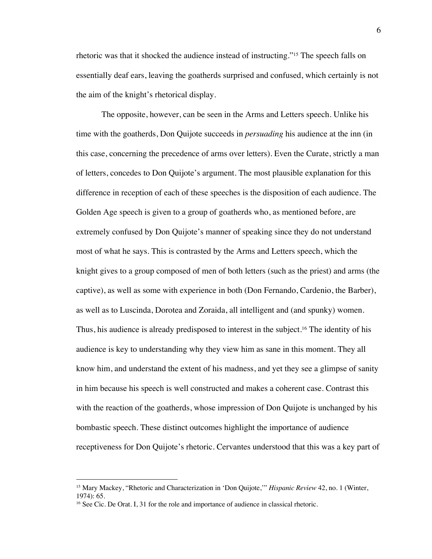rhetoric was that it shocked the audience instead of instructing."15 The speech falls on essentially deaf ears, leaving the goatherds surprised and confused, which certainly is not the aim of the knight's rhetorical display.

The opposite, however, can be seen in the Arms and Letters speech. Unlike his time with the goatherds, Don Quijote succeeds in *persuading* his audience at the inn (in this case, concerning the precedence of arms over letters). Even the Curate, strictly a man of letters, concedes to Don Quijote's argument. The most plausible explanation for this difference in reception of each of these speeches is the disposition of each audience. The Golden Age speech is given to a group of goatherds who, as mentioned before, are extremely confused by Don Quijote's manner of speaking since they do not understand most of what he says. This is contrasted by the Arms and Letters speech, which the knight gives to a group composed of men of both letters (such as the priest) and arms (the captive), as well as some with experience in both (Don Fernando, Cardenio, the Barber), as well as to Luscinda, Dorotea and Zoraida, all intelligent and (and spunky) women. Thus, his audience is already predisposed to interest in the subject.<sup>16</sup> The identity of his audience is key to understanding why they view him as sane in this moment. They all know him, and understand the extent of his madness, and yet they see a glimpse of sanity in him because his speech is well constructed and makes a coherent case. Contrast this with the reaction of the goatherds, whose impression of Don Quijote is unchanged by his bombastic speech. These distinct outcomes highlight the importance of audience receptiveness for Don Quijote's rhetoric. Cervantes understood that this was a key part of

<sup>15</sup> Mary Mackey, "Rhetoric and Characterization in 'Don Quijote,'" *Hispanic Review* 42, no. 1 (Winter, 1974): 65.

<sup>&</sup>lt;sup>16</sup> See Cic. De Orat. I, 31 for the role and importance of audience in classical rhetoric.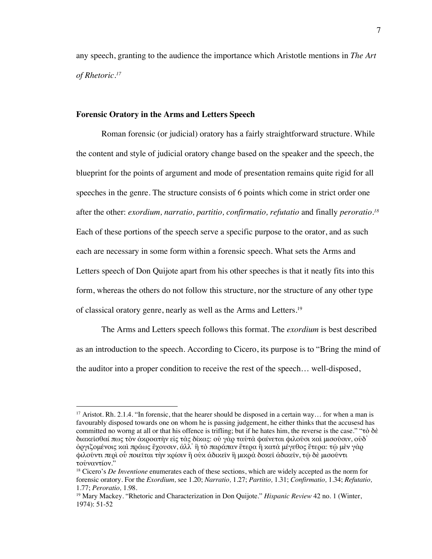any speech, granting to the audience the importance which Aristotle mentions in *The Art of Rhetoric.17*

## **Forensic Oratory in the Arms and Letters Speech**

Roman forensic (or judicial) oratory has a fairly straightforward structure. While the content and style of judicial oratory change based on the speaker and the speech, the blueprint for the points of argument and mode of presentation remains quite rigid for all speeches in the genre. The structure consists of 6 points which come in strict order one after the other: *exordium, narratio, partitio, confirmatio, refutatio* and finally *peroratio.18* Each of these portions of the speech serve a specific purpose to the orator, and as such each are necessary in some form within a forensic speech. What sets the Arms and Letters speech of Don Quijote apart from his other speeches is that it neatly fits into this form, whereas the others do not follow this structure, nor the structure of any other type of classical oratory genre, nearly as well as the Arms and Letters.19

The Arms and Letters speech follows this format. The *exordium* is best described as an introduction to the speech. According to Cicero, its purpose is to "Bring the mind of the auditor into a proper condition to receive the rest of the speech… well-disposed,

<sup>&</sup>lt;sup>17</sup> Aristot. Rh. 2.1.4. "In forensic, that the hearer should be disposed in a certain way... for when a man is favourably disposed towards one on whom he is passing judgement, he either thinks that the accusesd has committed no worng at all or that his offence is trifling; but if he hates him, the reverse is the case." "τὸ δὲ διακεῖσθαί πως τὸν ἀκροατὴν εἰς τὰς δίκας: οὐ γὰρ ταὐτὰ φαίνεται φιλοῦσι καὶ μισοῦσιν, οὐδ᾽ ὀργιζομένοις καὶ πράως ἔχουσιν, ἀλλ᾽ ἢ τὸ παράπαν ἕτερα ἢ κατὰ μέγεθος ἕτερα: τῷ μὲν γὰρ φιλοῦντι περὶ οὗ ποιεῖται τὴν κρίσιν ἢ οὐκ ἀδικεῖν ἢ μικρὰ δοκεῖ ἀδικεῖν, τῷ δὲ μισοῦντι τοὐναντίον."

<sup>18</sup> Cicero's *De Inventione* enumerates each of these sections, which are widely accepted as the norm for forensic oratory. For the *Exordium,* see 1.20; *Narratio,* 1.27; *Partitio,* 1.31; *Confirmatio,* 1.34; *Refutatio,* 1.77; *Peroratio,* 1.98.

<sup>19</sup> Mary Mackey. "Rhetoric and Characterization in Don Quijote." *Hispanic Review* 42 no. 1 (Winter, 1974): 51-52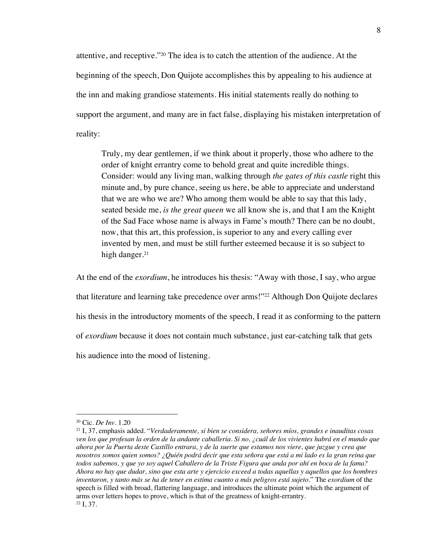attentive, and receptive."20 The idea is to catch the attention of the audience. At the beginning of the speech, Don Quijote accomplishes this by appealing to his audience at the inn and making grandiose statements. His initial statements really do nothing to support the argument, and many are in fact false, displaying his mistaken interpretation of reality:

Truly, my dear gentlemen, if we think about it properly, those who adhere to the order of knight errantry come to behold great and quite incredible things. Consider: would any living man, walking through *the gates of this castle* right this minute and, by pure chance, seeing us here, be able to appreciate and understand that we are who we are? Who among them would be able to say that this lady, seated beside me, *is the great queen* we all know she is, and that I am the Knight of the Sad Face whose name is always in Fame's mouth? There can be no doubt, now, that this art, this profession, is superior to any and every calling ever invented by men, and must be still further esteemed because it is so subject to high danger.<sup>21</sup>

At the end of the *exordium*, he introduces his thesis: "Away with those, I say, who argue that literature and learning take precedence over arms!"22 Although Don Quijote declares his thesis in the introductory moments of the speech*,* I read it as conforming to the pattern of *exordium* because it does not contain much substance, just ear-catching talk that gets his audience into the mood of listening.

<sup>20</sup> Cic. *De Inv.* 1.20

<sup>21</sup> I, 37, emphasis added. "*Verdaderamente, si bien se considera, señores míos, grandes e inauditas cosas ven los que profesan la orden de la andante caballeria. Si no, ¿cuál de los vivientes habrá en el mundo que ahora por la Puerta deste Castillo entrara, y de la suerte que estamos nos viere, que juzgue y crea que nosotros somos quien somos? ¿Quién podrá decir que esta señora que está a mi lado es la gran reina que todos sabemos, y que yo soy aquel Caballero de la Triste Figura que anda por ahí en boca de la fama? Ahora no hay que dudar, sino que esta arte y ejercicio exceed a todas aquellas y aquellos que los hombres inventaron, y tanto más se ha de tener en estima cuanto a más peligros está sujeto.*" The *exordium* of the speech is filled with broad, flattering language, and introduces the ultimate point which the argument of arms over letters hopes to prove, which is that of the greatness of knight-errantry. 22 I, 37.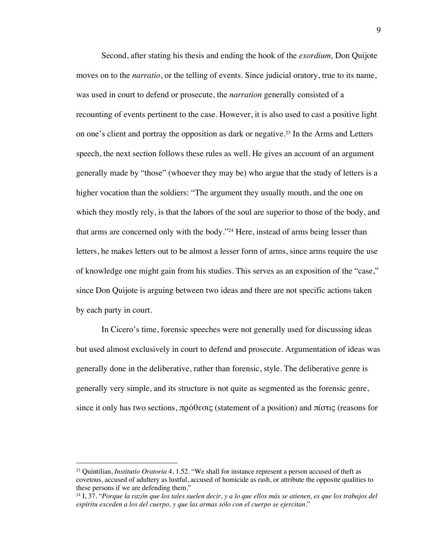Second, after stating his thesis and ending the hook of the *exordium,* Don Quijote moves on to the *narratio*, or the telling of events. Since judicial oratory, true to its name, was used in court to defend or prosecute, the *narration* generally consisted of a recounting of events pertinent to the case. However, it is also used to cast a positive light on one's client and portray the opposition as dark or negative.23 In the Arms and Letters speech, the next section follows these rules as well. He gives an account of an argument generally made by "those" (whoever they may be) who argue that the study of letters is a higher vocation than the soldiers: "The argument they usually mouth, and the one on which they mostly rely, is that the labors of the soul are superior to those of the body, and that arms are concerned only with the body."24 Here, instead of arms being lesser than letters, he makes letters out to be almost a lesser form of arms, since arms require the use of knowledge one might gain from his studies. This serves as an exposition of the "case," since Don Quijote is arguing between two ideas and there are not specific actions taken by each party in court.

In Cicero's time, forensic speeches were not generally used for discussing ideas but used almost exclusively in court to defend and prosecute. Argumentation of ideas was generally done in the deliberative, rather than forensic, style. The deliberative genre is generally very simple, and its structure is not quite as segmented as the forensic genre, since it only has two sections, πρόθεσις (statement of a position) and πίστις (reasons for

<sup>23</sup> Quintilian, *Institutio Oratoria* 4, 1.52. "We shall for instance represent a person accused of theft as covetous, accused of adultery as lustful, accused of homicide as rash, or attribute the opposite qualities to these persons if we are defending them."

<sup>24</sup> I, 37. "*Porque la razón que los tales suelen decir, y a lo que ellos más se atienen, es que los trabajos del espíritu exceden a los del cuerpo, y que las armas sólo con el cuerpo se ejercitan.*"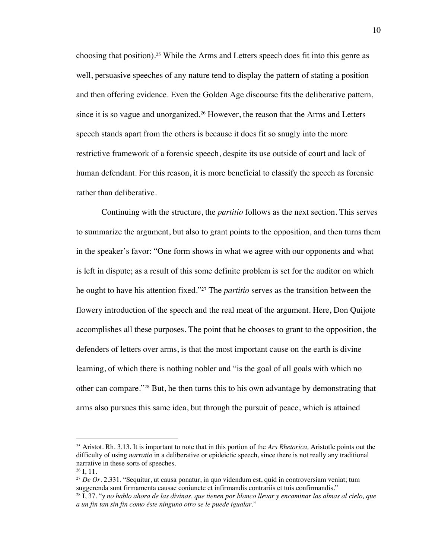choosing that position). <sup>25</sup> While the Arms and Letters speech does fit into this genre as well, persuasive speeches of any nature tend to display the pattern of stating a position and then offering evidence. Even the Golden Age discourse fits the deliberative pattern, since it is so vague and unorganized. <sup>26</sup> However, the reason that the Arms and Letters speech stands apart from the others is because it does fit so snugly into the more restrictive framework of a forensic speech, despite its use outside of court and lack of human defendant. For this reason, it is more beneficial to classify the speech as forensic rather than deliberative.

Continuing with the structure, the *partitio* follows as the next section. This serves to summarize the argument, but also to grant points to the opposition, and then turns them in the speaker's favor: "One form shows in what we agree with our opponents and what is left in dispute; as a result of this some definite problem is set for the auditor on which he ought to have his attention fixed."27 The *partitio* serves as the transition between the flowery introduction of the speech and the real meat of the argument. Here, Don Quijote accomplishes all these purposes. The point that he chooses to grant to the opposition, the defenders of letters over arms, is that the most important cause on the earth is divine learning, of which there is nothing nobler and "is the goal of all goals with which no other can compare."28 But, he then turns this to his own advantage by demonstrating that arms also pursues this same idea, but through the pursuit of peace, which is attained

<sup>25</sup> Aristot. Rh. 3.13. It is important to note that in this portion of the *Ars Rhetorica,* Aristotle points out the difficulty of using *narratio* in a deliberative or epideictic speech, since there is not really any traditional narrative in these sorts of speeches.

 $26$  I, 11.

<sup>&</sup>lt;sup>27</sup> *De Or.* 2.331. "Sequitur, ut causa ponatur, in quo videndum est, quid in controversiam veniat; tum suggerenda sunt firmamenta causae coniuncte et infirmandis contrariis et tuis confirmandis."

<sup>28</sup> I, 37. "*y no hablo ahora de las divinas, que tienen por blanco llevar y encaminar las almas al cielo, que a un fin tan sin fin como éste ninguno otro se le puede igualar.*"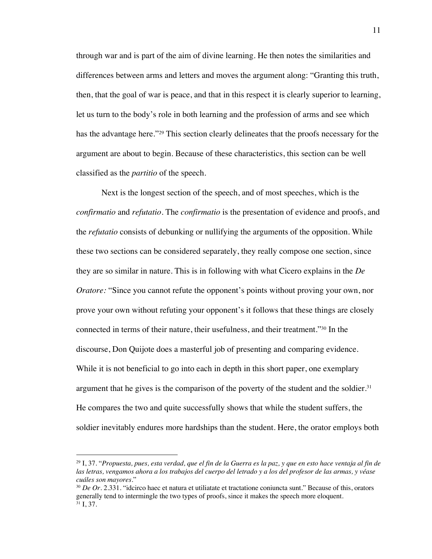through war and is part of the aim of divine learning. He then notes the similarities and differences between arms and letters and moves the argument along: "Granting this truth, then, that the goal of war is peace, and that in this respect it is clearly superior to learning, let us turn to the body's role in both learning and the profession of arms and see which has the advantage here."<sup>29</sup> This section clearly delineates that the proofs necessary for the argument are about to begin. Because of these characteristics, this section can be well classified as the *partitio* of the speech.

Next is the longest section of the speech, and of most speeches, which is the *confirmatio* and *refutatio.* The *confirmatio* is the presentation of evidence and proofs, and the *refutatio* consists of debunking or nullifying the arguments of the opposition. While these two sections can be considered separately, they really compose one section, since they are so similar in nature. This is in following with what Cicero explains in the *De Oratore:* "Since you cannot refute the opponent's points without proving your own, nor prove your own without refuting your opponent's it follows that these things are closely connected in terms of their nature, their usefulness, and their treatment."30 In the discourse, Don Quijote does a masterful job of presenting and comparing evidence. While it is not beneficial to go into each in depth in this short paper, one exemplary argument that he gives is the comparison of the poverty of the student and the soldier. $31$ He compares the two and quite successfully shows that while the student suffers, the soldier inevitably endures more hardships than the student. Here, the orator employs both

<sup>29</sup> I, 37. "*Propuesta, pues, esta verdad, que el fin de la Guerra es la paz, y que en esto hace ventaja al fin de las letras, vengamos ahora a los trabajos del cuerpo del letrado y a los del profesor de las armas, y véase cuáles son mayores.*"

<sup>30</sup> *De Or.* 2.331. "idcirco haec et natura et utiliatate et tractatione coniuncta sunt." Because of this, orators generally tend to intermingle the two types of proofs, since it makes the speech more eloquent.  $31$  I, 37.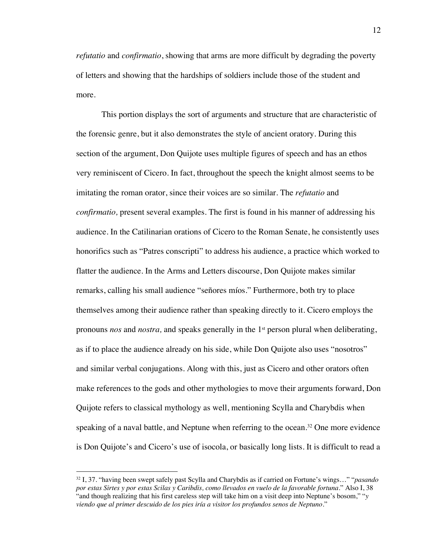*refutatio* and *confirmatio*, showing that arms are more difficult by degrading the poverty of letters and showing that the hardships of soldiers include those of the student and more.

This portion displays the sort of arguments and structure that are characteristic of the forensic genre, but it also demonstrates the style of ancient oratory. During this section of the argument, Don Quijote uses multiple figures of speech and has an ethos very reminiscent of Cicero. In fact, throughout the speech the knight almost seems to be imitating the roman orator, since their voices are so similar. The *refutatio* and *confirmatio,* present several examples. The first is found in his manner of addressing his audience. In the Catilinarian orations of Cicero to the Roman Senate, he consistently uses honorifics such as "Patres conscripti" to address his audience, a practice which worked to flatter the audience. In the Arms and Letters discourse, Don Quijote makes similar remarks, calling his small audience "señores míos." Furthermore, both try to place themselves among their audience rather than speaking directly to it. Cicero employs the pronouns *nos* and *nostra*, and speaks generally in the 1<sup>st</sup> person plural when deliberating, as if to place the audience already on his side, while Don Quijote also uses "nosotros" and similar verbal conjugations. Along with this, just as Cicero and other orators often make references to the gods and other mythologies to move their arguments forward, Don Quijote refers to classical mythology as well, mentioning Scylla and Charybdis when speaking of a naval battle, and Neptune when referring to the ocean.<sup>32</sup> One more evidence is Don Quijote's and Cicero's use of isocola, or basically long lists. It is difficult to read a

<sup>32</sup> I, 37. "having been swept safely past Scylla and Charybdis as if carried on Fortune's wings…" "*pasando por estas Sirtes y por estas Scilas y Caribdis, como llevados en vuelo de la favorable fortuna*." Also I, 38 "and though realizing that his first careless step will take him on a visit deep into Neptune's bosom," "*y viendo que al primer descuido de los pies iría a visitor los profundos senos de Neptuno*."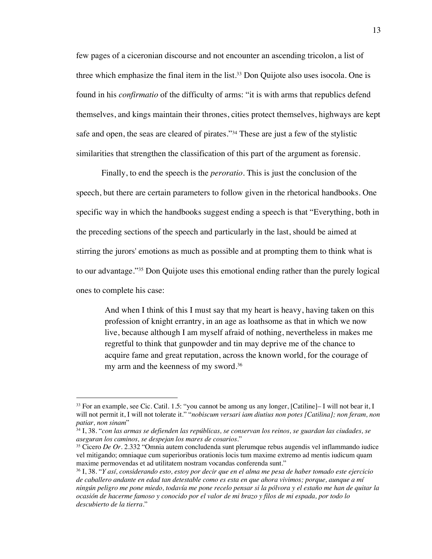few pages of a ciceronian discourse and not encounter an ascending tricolon, a list of three which emphasize the final item in the list. <sup>33</sup> Don Quijote also uses isocola. One is found in his *confirmatio* of the difficulty of arms: "it is with arms that republics defend themselves, and kings maintain their thrones, cities protect themselves, highways are kept safe and open, the seas are cleared of pirates."34 These are just a few of the stylistic similarities that strengthen the classification of this part of the argument as forensic.

Finally, to end the speech is the *peroratio.* This is just the conclusion of the speech, but there are certain parameters to follow given in the rhetorical handbooks. One specific way in which the handbooks suggest ending a speech is that "Everything, both in the preceding sections of the speech and particularly in the last, should be aimed at stirring the jurors' emotions as much as possible and at prompting them to think what is to our advantage."35 Don Quijote uses this emotional ending rather than the purely logical ones to complete his case:

And when I think of this I must say that my heart is heavy, having taken on this profession of knight errantry, in an age as loathsome as that in which we now live, because although I am myself afraid of nothing, nevertheless in makes me regretful to think that gunpowder and tin may deprive me of the chance to acquire fame and great reputation, across the known world, for the courage of my arm and the keenness of my sword.36

<sup>33</sup> For an example, see Cic. Catil. 1.5: "you cannot be among us any longer, [Catiline]– I will not bear it, I will not permit it, I will not tolerate it." "*nobiscum versari iam diutius non potes [Catilina]; non feram, non patiar, non sinam*"

<sup>34</sup> I, 38. "*con las armas se defienden las repúblicas, se conservan los reinos, se guardan las ciudades, se aseguran los caminos, se despejan los mares de cosarios.*"

<sup>35</sup> Cicero *De Or.* 2.332 "Omnia autem concludenda sunt plerumque rebus augendis vel inflammando iudice vel mitigando; omniaque cum superioribus orationis locis tum maxime extremo ad mentis iudicum quam maxime permovendas et ad utilitatem nostram vocandas conferenda sunt."

<sup>36</sup> I, 38. "*Y así, considerando esto, estoy por decir que en el alma me pesa de haber tomado este ejercicio de caballero andante en edad tan detestable como es esta en que ahora vivimos; porque, aunque a mí ningún peligro me pone miedo, todavía me pone recelo pensar si la pólvora y el estaño me han de quitar la ocasión de hacerme famoso y conocido por el valor de mi brazo y filos de mi espada, por todo lo descubierto de la tierra.*"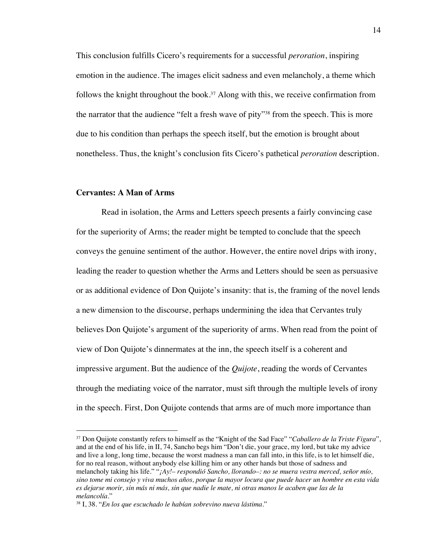This conclusion fulfills Cicero's requirements for a successful *peroration*, inspiring emotion in the audience. The images elicit sadness and even melancholy, a theme which follows the knight throughout the book.<sup>37</sup> Along with this, we receive confirmation from the narrator that the audience "felt a fresh wave of pity"38 from the speech. This is more due to his condition than perhaps the speech itself, but the emotion is brought about nonetheless. Thus, the knight's conclusion fits Cicero's pathetical *peroration* description.

## **Cervantes: A Man of Arms**

Read in isolation, the Arms and Letters speech presents a fairly convincing case for the superiority of Arms; the reader might be tempted to conclude that the speech conveys the genuine sentiment of the author. However, the entire novel drips with irony, leading the reader to question whether the Arms and Letters should be seen as persuasive or as additional evidence of Don Quijote's insanity: that is, the framing of the novel lends a new dimension to the discourse, perhaps undermining the idea that Cervantes truly believes Don Quijote's argument of the superiority of arms. When read from the point of view of Don Quijote's dinnermates at the inn, the speech itself is a coherent and impressive argument. But the audience of the *Quijote*, reading the words of Cervantes through the mediating voice of the narrator, must sift through the multiple levels of irony in the speech. First, Don Quijote contends that arms are of much more importance than

<sup>37</sup> Don Quijote constantly refers to himself as the "Knight of the Sad Face" "*Caballero de la Triste Figura*", and at the end of his life, in II, 74, Sancho begs him "Don't die, your grace, my lord, but take my advice and live a long, long time, because the worst madness a man can fall into, in this life, is to let himself die, for no real reason, without anybody else killing him or any other hands but those of sadness and melancholy taking his life." "*¡Ay!– respondió Sancho, llorando–: no se muera vestra merced, señor mío, sino tome mi consejo y viva muchos años, porque la mayor locura que puede hacer un hombre en esta vida es dejarse morir, sin más ni más, sin que nadie le mate, ni otras manos le acaben que las de la melancolía.*"

<sup>38</sup> I, 38. "*En los que escuchado le habían sobrevino nueva lástima.*"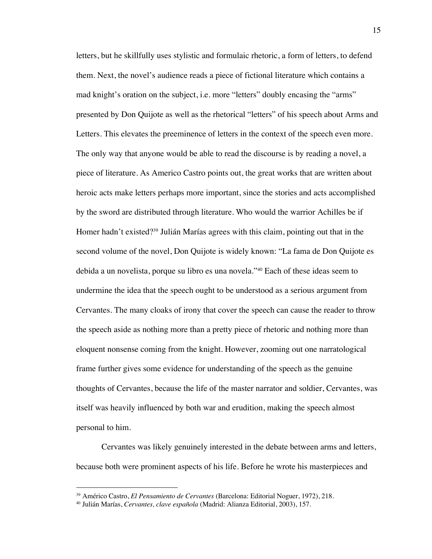letters, but he skillfully uses stylistic and formulaic rhetoric, a form of letters, to defend them. Next, the novel's audience reads a piece of fictional literature which contains a mad knight's oration on the subject, i.e. more "letters" doubly encasing the "arms" presented by Don Quijote as well as the rhetorical "letters" of his speech about Arms and Letters. This elevates the preeminence of letters in the context of the speech even more. The only way that anyone would be able to read the discourse is by reading a novel, a piece of literature. As Americo Castro points out, the great works that are written about heroic acts make letters perhaps more important, since the stories and acts accomplished by the sword are distributed through literature. Who would the warrior Achilles be if Homer hadn't existed?39 Julián Marías agrees with this claim, pointing out that in the second volume of the novel, Don Quijote is widely known: "La fama de Don Quijote es debida a un novelista, porque su libro es una novela."40 Each of these ideas seem to undermine the idea that the speech ought to be understood as a serious argument from Cervantes. The many cloaks of irony that cover the speech can cause the reader to throw the speech aside as nothing more than a pretty piece of rhetoric and nothing more than eloquent nonsense coming from the knight. However, zooming out one narratological frame further gives some evidence for understanding of the speech as the genuine thoughts of Cervantes, because the life of the master narrator and soldier, Cervantes, was itself was heavily influenced by both war and erudition, making the speech almost personal to him.

Cervantes was likely genuinely interested in the debate between arms and letters, because both were prominent aspects of his life. Before he wrote his masterpieces and

<sup>39</sup> Américo Castro, *El Pensamiento de Cervantes* (Barcelona: Editorial Noguer, 1972), 218.

<sup>40</sup> Julián Marías, *Cervantes, clave española* (Madrid: Alianza Editorial, 2003), 157.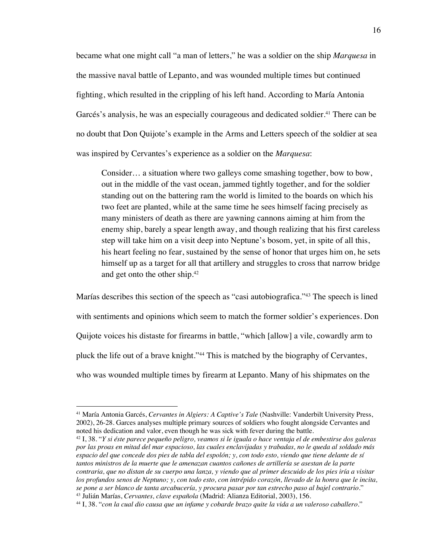became what one might call "a man of letters," he was a soldier on the ship *Marquesa* in the massive naval battle of Lepanto, and was wounded multiple times but continued fighting, which resulted in the crippling of his left hand. According to María Antonia Garcés's analysis, he was an especially courageous and dedicated soldier. <sup>41</sup> There can be no doubt that Don Quijote's example in the Arms and Letters speech of the soldier at sea was inspired by Cervantes's experience as a soldier on the *Marquesa*:

Consider… a situation where two galleys come smashing together, bow to bow, out in the middle of the vast ocean, jammed tightly together, and for the soldier standing out on the battering ram the world is limited to the boards on which his two feet are planted, while at the same time he sees himself facing precisely as many ministers of death as there are yawning cannons aiming at him from the enemy ship, barely a spear length away, and though realizing that his first careless step will take him on a visit deep into Neptune's bosom, yet, in spite of all this, his heart feeling no fear, sustained by the sense of honor that urges him on, he sets himself up as a target for all that artillery and struggles to cross that narrow bridge and get onto the other ship. 42

Marías describes this section of the speech as "casi autobiografica."43 The speech is lined with sentiments and opinions which seem to match the former soldier's experiences. Don Quijote voices his distaste for firearms in battle, "which [allow] a vile, cowardly arm to pluck the life out of a brave knight."44 This is matched by the biography of Cervantes, who was wounded multiple times by firearm at Lepanto. Many of his shipmates on the

<sup>41</sup> María Antonia Garcés, *Cervantes in Algiers: A Captive's Tale* (Nashville: Vanderbilt University Press, 2002), 26-28. Garces analyses multiple primary sources of soldiers who fought alongside Cervantes and noted his dedication and valor, even though he was sick with fever during the battle.

<sup>42</sup> I, 38. "*Y si éste parece pequeño peligro, veamos si le iguala o hace ventaja el de embestirse dos galeras por las proas en mitad del mar espacioso, las cuales enclavijadas y trabadas, no le queda al soldado más espacio del que concede dos pies de tabla del espolón; y, con todo esto, viendo que tiene delante de sí tantos ministros de la muerte que le amenazan cuantos cañones de artillería se asestan de la parte contraria, que no distan de su cuerpo una lanza, y viendo que al primer descuido de los pies iría a visitar los profundos senos de Neptuno; y, con todo esto, con intrépido corazón, llevado de la honra que le incita, se pone a ser blanco de tanta arcabucería, y procura pasar por tan estrecho paso al bajel contrario.*" <sup>43</sup> Julián Marías, *Cervantes, clave española* (Madrid: Alianza Editorial, 2003), 156.

<sup>44</sup> I, 38. "*con la cual dio causa que un infame y cobarde brazo quite la vida a un valeroso caballero.*"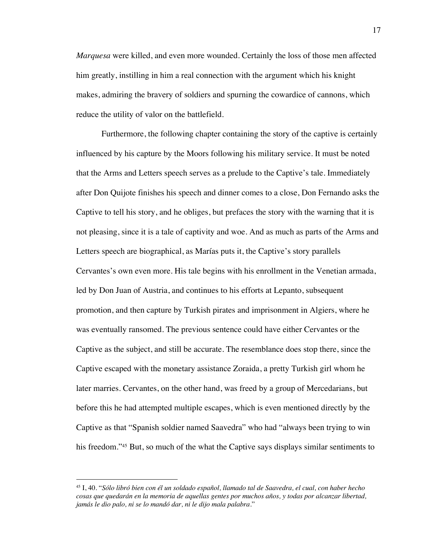*Marquesa* were killed, and even more wounded. Certainly the loss of those men affected him greatly, instilling in him a real connection with the argument which his knight makes, admiring the bravery of soldiers and spurning the cowardice of cannons, which reduce the utility of valor on the battlefield.

Furthermore, the following chapter containing the story of the captive is certainly influenced by his capture by the Moors following his military service. It must be noted that the Arms and Letters speech serves as a prelude to the Captive's tale. Immediately after Don Quijote finishes his speech and dinner comes to a close, Don Fernando asks the Captive to tell his story, and he obliges, but prefaces the story with the warning that it is not pleasing, since it is a tale of captivity and woe. And as much as parts of the Arms and Letters speech are biographical, as Marías puts it, the Captive's story parallels Cervantes's own even more. His tale begins with his enrollment in the Venetian armada, led by Don Juan of Austria, and continues to his efforts at Lepanto, subsequent promotion, and then capture by Turkish pirates and imprisonment in Algiers, where he was eventually ransomed. The previous sentence could have either Cervantes or the Captive as the subject, and still be accurate. The resemblance does stop there, since the Captive escaped with the monetary assistance Zoraida, a pretty Turkish girl whom he later marries. Cervantes, on the other hand, was freed by a group of Mercedarians, but before this he had attempted multiple escapes, which is even mentioned directly by the Captive as that "Spanish soldier named Saavedra" who had "always been trying to win his freedom."<sup>45</sup> But, so much of the what the Captive says displays similar sentiments to

<sup>45</sup> I, 40. "*Sólo libró bien con él un soldado español, llamado tal de Saavedra, el cual, con haber hecho cosas que quedarán en la memoria de aquellas gentes por muchos años, y todas por alcanzar libertad, jamás le dio palo, ni se lo mandó dar, ni le dijo mala palabra.*"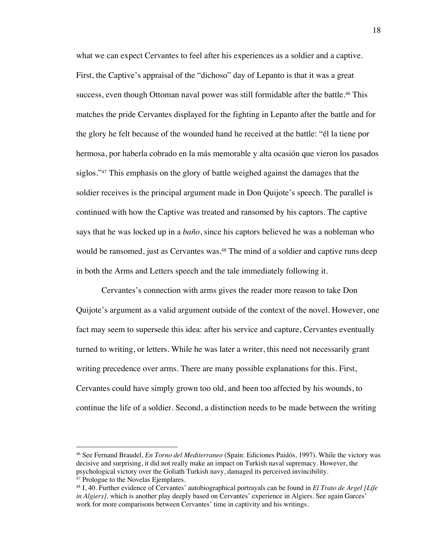what we can expect Cervantes to feel after his experiences as a soldier and a captive. First, the Captive's appraisal of the "dichoso" day of Lepanto is that it was a great success, even though Ottoman naval power was still formidable after the battle.<sup>46</sup> This matches the pride Cervantes displayed for the fighting in Lepanto after the battle and for the glory he felt because of the wounded hand he received at the battle: "él la tiene por hermosa, por haberla cobrado en la más memorable y alta ocasión que vieron los pasados siglos."<sup>47</sup> This emphasis on the glory of battle weighed against the damages that the soldier receives is the principal argument made in Don Quijote's speech. The parallel is continued with how the Captive was treated and ransomed by his captors. The captive says that he was locked up in a *baño*, since his captors believed he was a nobleman who would be ransomed, just as Cervantes was.<sup>48</sup> The mind of a soldier and captive runs deep in both the Arms and Letters speech and the tale immediately following it.

Cervantes's connection with arms gives the reader more reason to take Don Quijote's argument as a valid argument outside of the context of the novel. However, one fact may seem to supersede this idea: after his service and capture, Cervantes eventually turned to writing, or letters. While he was later a writer, this need not necessarily grant writing precedence over arms. There are many possible explanations for this. First, Cervantes could have simply grown too old, and been too affected by his wounds, to continue the life of a soldier. Second, a distinction needs to be made between the writing

<sup>46</sup> See Fernand Braudel, *En Torno del Mediterraneo* (Spain: Ediciones Paidós, 1997). While the victory was decisive and surprising, it did not really make an impact on Turkish naval supremacy. However, the psychological victory over the Goliath Turkish navy, damaged its perceived invincibility.<br><sup>47</sup> Prologue to the Novelas Ejemplares.

<sup>&</sup>lt;sup>48</sup> I, 40. Further evidence of Cervantes' autobiographical portrayals can be found in *El Trato de Argel [Life in Algiers]*, which is another play deeply based on Cervantes' experience in Algiers. See again Garces' work for more comparisons between Cervantes' time in captivity and his writings.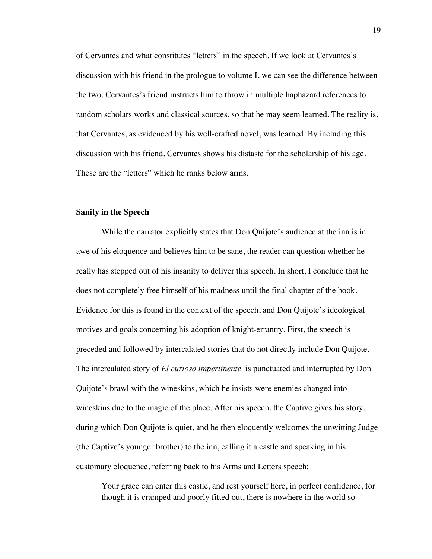of Cervantes and what constitutes "letters" in the speech. If we look at Cervantes's discussion with his friend in the prologue to volume I, we can see the difference between the two. Cervantes's friend instructs him to throw in multiple haphazard references to random scholars works and classical sources, so that he may seem learned. The reality is, that Cervantes, as evidenced by his well-crafted novel, was learned. By including this discussion with his friend, Cervantes shows his distaste for the scholarship of his age. These are the "letters" which he ranks below arms.

#### **Sanity in the Speech**

While the narrator explicitly states that Don Quijote's audience at the inn is in awe of his eloquence and believes him to be sane, the reader can question whether he really has stepped out of his insanity to deliver this speech. In short, I conclude that he does not completely free himself of his madness until the final chapter of the book. Evidence for this is found in the context of the speech, and Don Quijote's ideological motives and goals concerning his adoption of knight-errantry. First, the speech is preceded and followed by intercalated stories that do not directly include Don Quijote. The intercalated story of *El curioso impertinente* is punctuated and interrupted by Don Quijote's brawl with the wineskins, which he insists were enemies changed into wineskins due to the magic of the place. After his speech, the Captive gives his story, during which Don Quijote is quiet, and he then eloquently welcomes the unwitting Judge (the Captive's younger brother) to the inn, calling it a castle and speaking in his customary eloquence, referring back to his Arms and Letters speech:

Your grace can enter this castle, and rest yourself here, in perfect confidence, for though it is cramped and poorly fitted out, there is nowhere in the world so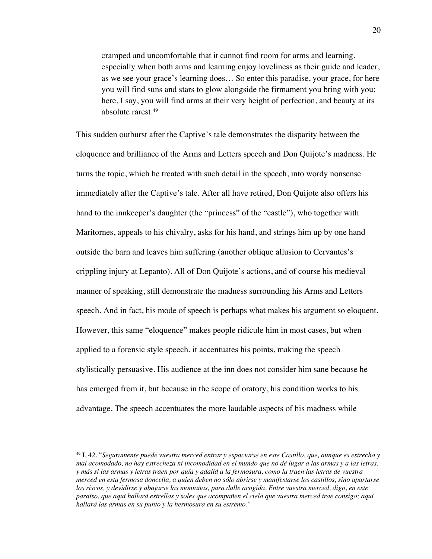cramped and uncomfortable that it cannot find room for arms and learning, especially when both arms and learning enjoy loveliness as their guide and leader, as we see your grace's learning does… So enter this paradise, your grace, for here you will find suns and stars to glow alongside the firmament you bring with you; here, I say, you will find arms at their very height of perfection, and beauty at its absolute rarest.49

This sudden outburst after the Captive's tale demonstrates the disparity between the eloquence and brilliance of the Arms and Letters speech and Don Quijote's madness. He turns the topic, which he treated with such detail in the speech, into wordy nonsense immediately after the Captive's tale. After all have retired, Don Quijote also offers his hand to the innkeeper's daughter (the "princess" of the "castle"), who together with Maritornes, appeals to his chivalry, asks for his hand, and strings him up by one hand outside the barn and leaves him suffering (another oblique allusion to Cervantes's crippling injury at Lepanto). All of Don Quijote's actions, and of course his medieval manner of speaking, still demonstrate the madness surrounding his Arms and Letters speech. And in fact, his mode of speech is perhaps what makes his argument so eloquent. However, this same "eloquence" makes people ridicule him in most cases, but when applied to a forensic style speech, it accentuates his points, making the speech stylistically persuasive. His audience at the inn does not consider him sane because he has emerged from it, but because in the scope of oratory, his condition works to his advantage. The speech accentuates the more laudable aspects of his madness while

<sup>49</sup> I, 42. "*Seguramente puede vuestra merced entrar y espaciarse en este Castillo, que, aunque es estrecho y mal acomodado, no hay estrecheza ni incomodidad en el mundo que no dé lugar a las armas y a las letras, y más si las armas y letras traen por quía y adalid a la fermosura, como la traen las letras de vuestra merced en esta fermosa doncella, a quien deben no sólo abrirse y manifestarse los castillos, sino apartarse los riscos, y devidirse y abajarse las montañas, para dalle acogida. Entre vuestra merced, digo, en este paraíso, que aquí hallará estrellas y soles que acompañen el cielo que vuestra merced trae consigo; aquí hallará las armas en su punto y la hermosura en su estremo.*"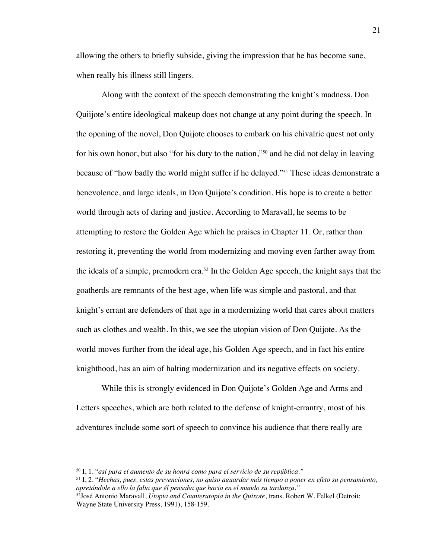allowing the others to briefly subside, giving the impression that he has become sane, when really his illness still lingers.

Along with the context of the speech demonstrating the knight's madness, Don Quiijote's entire ideological makeup does not change at any point during the speech. In the opening of the novel, Don Quijote chooses to embark on his chivalric quest not only for his own honor, but also "for his duty to the nation,"50 and he did not delay in leaving because of "how badly the world might suffer if he delayed."51 These ideas demonstrate a benevolence, and large ideals, in Don Quijote's condition. His hope is to create a better world through acts of daring and justice. According to Maravall, he seems to be attempting to restore the Golden Age which he praises in Chapter 11. Or, rather than restoring it, preventing the world from modernizing and moving even farther away from the ideals of a simple, premodern era.<sup>52</sup> In the Golden Age speech, the knight says that the goatherds are remnants of the best age, when life was simple and pastoral, and that knight's errant are defenders of that age in a modernizing world that cares about matters such as clothes and wealth. In this, we see the utopian vision of Don Quijote. As the world moves further from the ideal age, his Golden Age speech, and in fact his entire knighthood, has an aim of halting modernization and its negative effects on society.

While this is strongly evidenced in Don Quijote's Golden Age and Arms and Letters speeches, which are both related to the defense of knight-errantry, most of his adventures include some sort of speech to convince his audience that there really are

<sup>50</sup> I, 1. "*así para el aumento de su honra como para el servicio de su república."*

<sup>51</sup> I, 2. "*Hechas, pues, estas prevenciones, no quiso aguardar más tiempo a poner en efeto su pensamiento, apretándole a ello la falta que él pensaba que hacía en el mundo su tardanza."*

<sup>52</sup>José Antonio Maravall, *Utopia and Counterutopia in the Quixote*, trans. Robert W. Felkel (Detroit: Wayne State University Press, 1991), 158-159.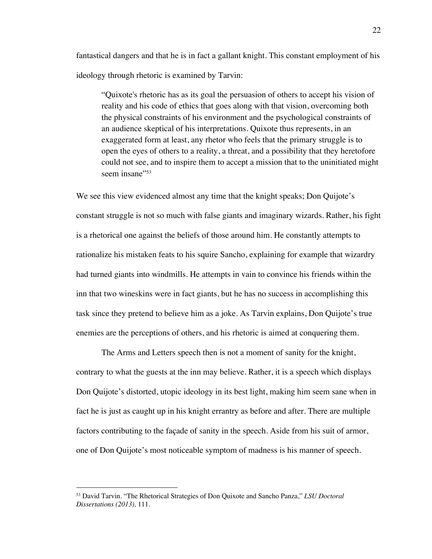fantastical dangers and that he is in fact a gallant knight. This constant employment of his ideology through rhetoric is examined by Tarvin:

"Quixote's rhetoric has as its goal the persuasion of others to accept his vision of reality and his code of ethics that goes along with that vision, overcoming both the physical constraints of his environment and the psychological constraints of an audience skeptical of his interpretations. Quixote thus represents, in an exaggerated form at least, any rhetor who feels that the primary struggle is to open the eyes of others to a reality, a threat, and a possibility that they heretofore could not see, and to inspire them to accept a mission that to the uninitiated might seem insane"<sup>53</sup>

We see this view evidenced almost any time that the knight speaks; Don Quijote's constant struggle is not so much with false giants and imaginary wizards. Rather, his fight is a rhetorical one against the beliefs of those around him. He constantly attempts to rationalize his mistaken feats to his squire Sancho, explaining for example that wizardry had turned giants into windmills. He attempts in vain to convince his friends within the inn that two wineskins were in fact giants, but he has no success in accomplishing this task since they pretend to believe him as a joke. As Tarvin explains, Don Quijote's true enemies are the perceptions of others, and his rhetoric is aimed at conquering them.

The Arms and Letters speech then is not a moment of sanity for the knight, contrary to what the guests at the inn may believe. Rather, it is a speech which displays Don Quijote's distorted, utopic ideology in its best light, making him seem sane when in fact he is just as caught up in his knight errantry as before and after. There are multiple factors contributing to the façade of sanity in the speech. Aside from his suit of armor, one of Don Quijote's most noticeable symptom of madness is his manner of speech.

<sup>53</sup> David Tarvin. "The Rhetorical Strategies of Don Quixote and Sancho Panza," *LSU Doctoral Dissertations (2013),* 111.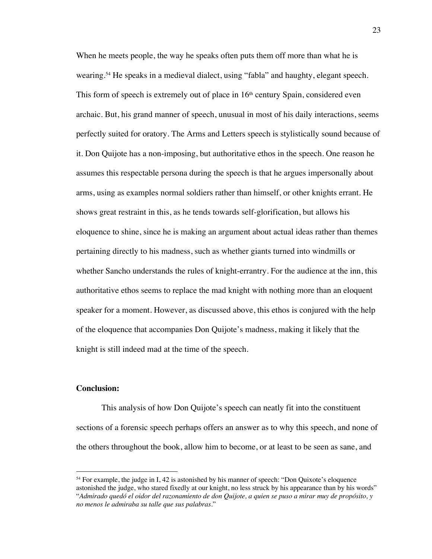When he meets people, the way he speaks often puts them off more than what he is wearing.54 He speaks in a medieval dialect, using "fabla" and haughty, elegant speech. This form of speech is extremely out of place in  $16<sup>th</sup>$  century Spain, considered even archaic. But, his grand manner of speech, unusual in most of his daily interactions, seems perfectly suited for oratory. The Arms and Letters speech is stylistically sound because of it. Don Quijote has a non-imposing, but authoritative ethos in the speech. One reason he assumes this respectable persona during the speech is that he argues impersonally about arms, using as examples normal soldiers rather than himself, or other knights errant. He shows great restraint in this, as he tends towards self-glorification, but allows his eloquence to shine, since he is making an argument about actual ideas rather than themes pertaining directly to his madness, such as whether giants turned into windmills or whether Sancho understands the rules of knight-errantry. For the audience at the inn, this authoritative ethos seems to replace the mad knight with nothing more than an eloquent speaker for a moment. However, as discussed above, this ethos is conjured with the help of the eloquence that accompanies Don Quijote's madness, making it likely that the knight is still indeed mad at the time of the speech.

## **Conclusion:**

This analysis of how Don Quijote's speech can neatly fit into the constituent sections of a forensic speech perhaps offers an answer as to why this speech, and none of the others throughout the book, allow him to become, or at least to be seen as sane, and

<sup>&</sup>lt;sup>54</sup> For example, the judge in I, 42 is astonished by his manner of speech: "Don Quixote's eloquence astonished the judge, who stared fixedly at our knight, no less struck by his appearance than by his words" "*Admirado quedó el oidor del razonamiento de don Quijote, a quien se puso a mirar muy de propósito, y no menos le admiraba su talle que sus palabras.*"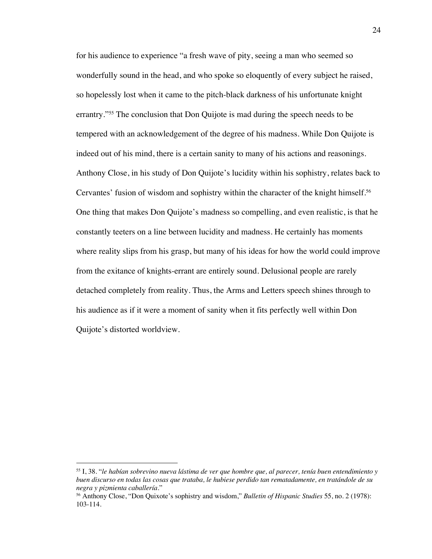for his audience to experience "a fresh wave of pity, seeing a man who seemed so wonderfully sound in the head, and who spoke so eloquently of every subject he raised, so hopelessly lost when it came to the pitch-black darkness of his unfortunate knight errantry."55 The conclusion that Don Quijote is mad during the speech needs to be tempered with an acknowledgement of the degree of his madness. While Don Quijote is indeed out of his mind, there is a certain sanity to many of his actions and reasonings. Anthony Close, in his study of Don Quijote's lucidity within his sophistry, relates back to Cervantes' fusion of wisdom and sophistry within the character of the knight himself.<sup>56</sup> One thing that makes Don Quijote's madness so compelling, and even realistic, is that he constantly teeters on a line between lucidity and madness. He certainly has moments where reality slips from his grasp, but many of his ideas for how the world could improve from the exitance of knights-errant are entirely sound. Delusional people are rarely detached completely from reality. Thus, the Arms and Letters speech shines through to his audience as if it were a moment of sanity when it fits perfectly well within Don Quijote's distorted worldview.

<sup>55</sup> I, 38. "*le habían sobrevino nueva lástima de ver que hombre que, al parecer, tenía buen entendimiento y buen discurso en todas las cosas que trataba, le hubiese perdido tan rematadamente, en tratándole de su negra y pizmienta caballería*."

<sup>56</sup> Anthony Close, "Don Quixote's sophistry and wisdom," *Bulletin of Hispanic Studies* 55, no. 2 (1978): 103-114.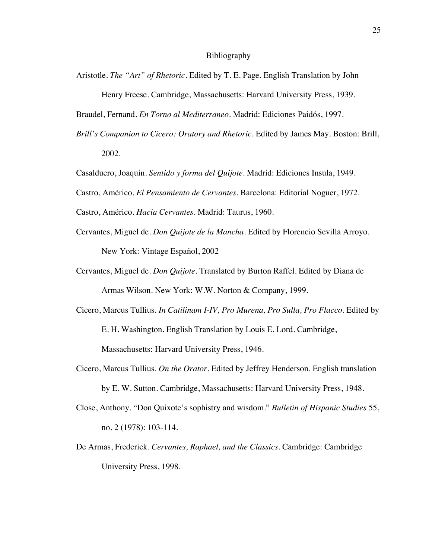Aristotle. *The "Art" of Rhetoric.* Edited by T. E. Page. English Translation by John

Henry Freese. Cambridge, Massachusetts: Harvard University Press, 1939.

Braudel, Fernand. *En Torno al Mediterraneo.* Madrid: Ediciones Paidós, 1997.

- *Brill's Companion to Cicero: Oratory and Rhetoric.* Edited by James May. Boston: Brill, 2002.
- Casalduero, Joaquin. *Sentido y forma del Quijote.* Madrid: Ediciones Insula, 1949.
- Castro, Américo. *El Pensamiento de Cervantes.* Barcelona: Editorial Noguer, 1972.

Castro, Américo. *Hacia Cervantes.* Madrid: Taurus, 1960.

- Cervantes, Miguel de. *Don Quijote de la Mancha*. Edited by Florencio Sevilla Arroyo. New York: Vintage Español, 2002
- Cervantes, Miguel de. *Don Quijote.* Translated by Burton Raffel. Edited by Diana de Armas Wilson. New York: W.W. Norton & Company, 1999.
- Cicero, Marcus Tullius. *In Catilinam I-IV, Pro Murena, Pro Sulla, Pro Flacco.* Edited by E. H. Washington. English Translation by Louis E. Lord. Cambridge, Massachusetts: Harvard University Press, 1946.
- Cicero, Marcus Tullius. *On the Orator.* Edited by Jeffrey Henderson. English translation by E. W. Sutton. Cambridge, Massachusetts: Harvard University Press, 1948.
- Close, Anthony. "Don Quixote's sophistry and wisdom." *Bulletin of Hispanic Studies* 55, no. 2 (1978): 103-114.
- De Armas, Frederick. *Cervantes, Raphael, and the Classics.* Cambridge: Cambridge University Press, 1998.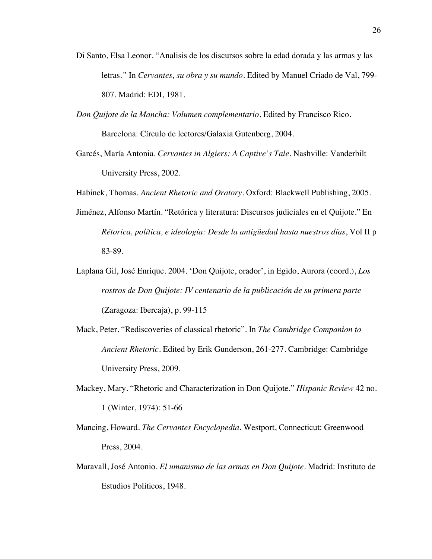- Di Santo, Elsa Leonor. "Analisis de los discursos sobre la edad dorada y las armas y las letras*."* In *Cervantes, su obra y su mundo.* Edited by Manuel Criado de Val, 799- 807. Madrid: EDI, 1981.
- *Don Quijote de la Mancha: Volumen complementario.* Edited by Francisco Rico. Barcelona: Círculo de lectores/Galaxia Gutenberg, 2004.
- Garcés, María Antonia. *Cervantes in Algiers: A Captive's Tale.* Nashville: Vanderbilt University Press, 2002.
- Habinek, Thomas. *Ancient Rhetoric and Oratory.* Oxford: Blackwell Publishing, 2005.
- Jiménez, Alfonso Martín. "Retórica y literatura: Discursos judiciales en el Quijote." En *Rétorica, política, e ideología: Desde la antigüedad hasta nuestros días*, Vol II p 83-89.
- Laplana Gil, José Enrique. 2004. 'Don Quijote, orador', in Egido, Aurora (coord.), *Los rostros de Don Quijote: IV centenario de la publicación de su primera parte*  (Zaragoza: Ibercaja), p. 99-115
- Mack, Peter. "Rediscoveries of classical rhetoric". In *The Cambridge Companion to Ancient Rhetoric.* Edited by Erik Gunderson, 261-277. Cambridge: Cambridge University Press, 2009.
- Mackey, Mary. "Rhetoric and Characterization in Don Quijote." *Hispanic Review* 42 no. 1 (Winter, 1974): 51-66
- Mancing, Howard. *The Cervantes Encyclopedia.* Westport, Connecticut: Greenwood Press, 2004.
- Maravall, José Antonio. *El umanismo de las armas en Don Quijote.* Madrid: Instituto de Estudios Politicos, 1948.